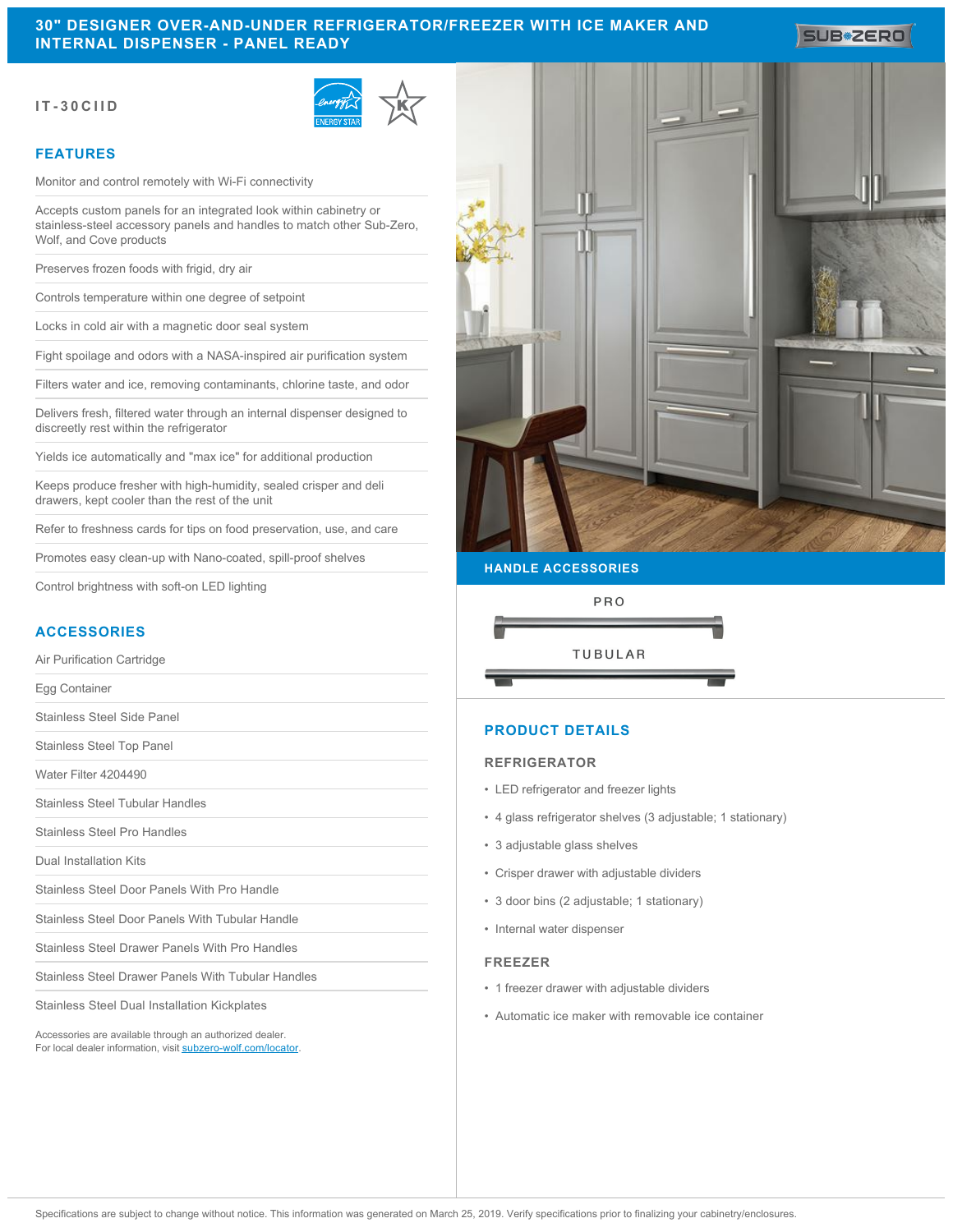# **30" DESIGNER OVER-AND-UNDER REFRIGERATOR/FREEZER WITH ICE MAKER AND INTERNAL DISPENSER - PANEL READY**

**IT-30CIID**



## **FEATURES**

Monitor and control remotely with Wi-Fi connectivity

Accepts custom panels for an integrated look within cabinetry or stainless-steel accessory panels and handles to match other Sub-Zero, Wolf, and Cove products

Preserves frozen foods with frigid, dry air

Controls temperature within one degree of setpoint

Locks in cold air with a magnetic door seal system

Fight spoilage and odors with a NASA-inspired air purification system

Filters water and ice, removing contaminants, chlorine taste, and odor

Delivers fresh, filtered water through an internal dispenser designed to discreetly rest within the refrigerator

Yields ice automatically and "max ice" for additional production

Keeps produce fresher with high-humidity, sealed crisper and deli drawers, kept cooler than the rest of the unit

Refer to freshness cards for tips on food preservation, use, and care

Promotes easy clean-up with Nano-coated, spill-proof shelves

Control brightness with soft-on LED lighting

## **ACCESSORIES**

Air Purification Cartridge

Egg Container

Stainless Steel Side Panel

Stainless Steel Top Panel

Water Filter 4204490

Stainless Steel Tubular Handles

Stainless Steel Pro Handles

Dual Installation Kits

Stainless Steel Door Panels With Pro Handle

Stainless Steel Door Panels With Tubular Handle

Stainless Steel Drawer Panels With Pro Handles

Stainless Steel Drawer Panels With Tubular Handles

Stainless Steel Dual Installation Kickplates

Accessories are available through an authorized dealer. For local dealer information, visit [subzero-wolf.com/locator.](http://www.subzero-wolf.com/locator)



#### **HANDLE ACCESSORIES**



## **PRODUCT DETAILS**

#### **REFRIGERATOR**

- LED refrigerator and freezer lights
- 4 glass refrigerator shelves (3 adjustable; 1 stationary)
- 3 adjustable glass shelves
- Crisper drawer with adjustable dividers
- 3 door bins (2 adjustable; 1 stationary)
- Internal water dispenser

### **FREEZER**

- 1 freezer drawer with adjustable dividers
- Automatic ice maker with removable ice container

**SUB#ZERO**